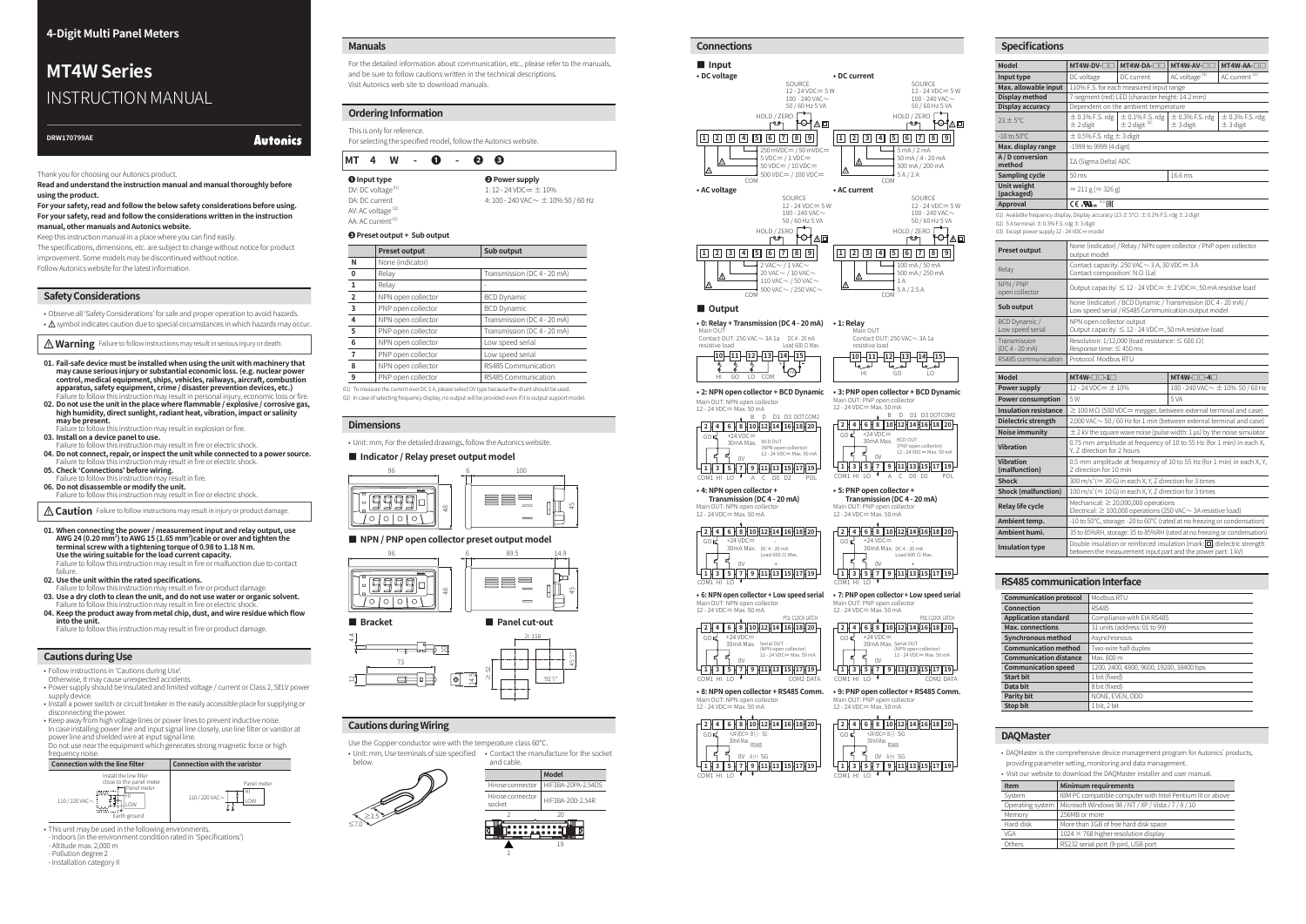-|Transparent Guide|-

**Autonics** 

Thank you for choosing our Autonics product.

**Read and understand the instruction manual and manual thoroughly before using the product.**

**For your safety, read and follow the below safety considerations before using. For your safety, read and follow the considerations written in the instruction manual, other manuals and Autonics website.**

Keep this instruction manual in a place where you can find easily.

The specifications, dimensions, etc. are subject to change without notice for product improvement. Some models may be discontinued without notice. Follow Autonics website for the latest information.

#### **Safety Considerations**

• Observe all 'Safety Considerations' for safe and proper operation to avoid hazards.

 $\cdot$   $\Lambda$  symbol indicates caution due to special circumstances in which hazards may occur.

*Marning* Failure to follow instructions may result in serious injury or death.

- **01. Fail-safe device must be installed when using the unit with machinery that may cause serious injury or substantial economic loss. (e.g. nuclear power control, medical equipment, ships, vehicles, railways, aircraft, combustion apparatus, safety equipment, crime / disaster prevention devices, etc.)**
- Failure to follow this instruction may result in personal injury, economic loss or fire. **02. Do not use the unit in the place where flammable / explosive / corrosive gas, high humidity, direct sunlight, radiant heat, vibration, impact or salinity may be present.** Failure to follow this instruction may result in explosion or fire.

**03. Install on a device panel to use.** Failure to follow this instruction may result in fire or electric shock.

- **04. Do not connect, repair, or inspect the unit while connected to a power source.** Failure to follow this instruction may result in fire or electric shock.
- **05. Check 'Connections' before wiring.** Failure to follow this instruction may result in fire.
- **06. Do not disassemble or modify the unit.** Failure to follow this instruction may result in fire or electric shock.

**A Caution** Failure to follow instructions may result in injury or product damage.

**01. When connecting the power / measurement input and relay output, use AWG 24 (0.20 mm<sup>2</sup> ) to AWG 15 (1.65 mm<sup>2</sup> )cable or over and tighten the terminal screw with a tightening torque of 0.98 to 1.18 N m. Use the wiring suitable for the load current capacity.** Failure to follow this instruction may result in fire or malfunction due to contact

failure. **02. Use the unit within the rated specifications.**

Failure to follow this instruction may result in fire or product damage.

**03. Use a dry cloth to clean the unit, and do not use water or organic solvent.** Failure to follow this instruction may result in fire or electric shock. **04. Keep the product away from metal chip, dust, and wire residue which flow**   01) To measure the current over DC 5 A, please select DV type because the shunt should be used. 02) In case of selecting frequency display, no output will be provided even if it is output support mode

**into the unit.** Failure to follow this instruction may result in fire or product damage.

#### **Cautions during Use**

- Follow instructions in 'Cautions during Use'.
- 
- Otherwise, It may cause unexpected accidents. Power supply should be insulated and limited voltage / current or Class 2, SELV power supply device.
- Install a power switch or circuit breaker in the easily accessible place for supplying or disconnecting the power. • Keep away from high voltage lines or power lines to prevent inductive noise.

In case installing power line and input signal line closely, use line filter or varistor at power line and shielded wire at input signal line.

Do not use near the equipment which generates strong magnetic force or high



- Indoors (in the environment condition rated in 'Specifications')

- Altitude max. 2,000 m - Pollution degree 2

- Installation category I

# **MT4W Series** INSTRUCTION MANUAL

**DRW170799AE**

#### **Cautions during Wiring**

Use the Copper-conductor wire with the temperature class 60℃.

below.



≥3.5 ≤7.0

**• 8: NPN open collector + RS485 Comm.** Main OUT: NPN open collect 12 - 24 VDC= Max. 50 mA







45

hu

#### **Dimensions**

• Unit: mm, For the detailed drawings, follow the Autonics website.

#### **■ Indicator / Relay preset output model**



#### ■ NPN / PNP open collector preset output model



#### **■ Bracket ■ Panel cut-out**



#### **Manuals**

For the detailed information about communication, etc., please refer to the manuals, and be sure to follow cautions written in the technical descriptions. Visit Autonics web site to download manuals.

### **Ordering Information**

| This is only for reference.<br>For selecting the specified model, follow the Autonics website. |    |   |  |     |  |     |      |  |
|------------------------------------------------------------------------------------------------|----|---|--|-----|--|-----|------|--|
| МT                                                                                             | -4 | W |  | - 0 |  | - 2 | - 63 |  |

| <b>O</b> Input type           | <b>O</b> Power supply                      |
|-------------------------------|--------------------------------------------|
| DV: DC voltage <sup>01)</sup> | 1:12 - 24 VDC $\pm$ 10%                    |
| DA: DC current                | 4: 100 - 240 VAC $\sim \pm$ 10% 50 / 60 Hz |
| AV: AC voltage $^{02}$        |                                            |
| AA: AC current <sup>02)</sup> |                                            |

#### **❸ Preset output + Sub output**

|                | <b>Preset output</b> | Sub output                  |
|----------------|----------------------|-----------------------------|
| N              | None (indicator)     |                             |
| 0              | Relay                | Transmission (DC 4 - 20 mA) |
| 1              | Relay                |                             |
| $\overline{2}$ | NPN open collector   | <b>BCD Dynamic</b>          |
| 3              | PNP open collector   | <b>BCD Dynamic</b>          |
| 4              | NPN open collector   | Transmission (DC 4 - 20 mA) |
| 5              | PNP open collector   | Transmission (DC 4 - 20 mA) |
| 6              | NPN open collector   | Low speed serial            |
|                | PNP open collector   | Low speed serial            |
| 8              | NPN open collector   | RS485 Communication         |
| 9              | PNP open collector   | RS485 Communication         |

#### **Connections ■ Input • DC voltage** HOLD / ZERO SOURCE  $12 - 24$  VDC= 5 W<br> $100 - 240$  VAC  $\sim$ 50 / 60 Hz 5 VA **COM**  $\overline{L}$  250 mVDC  $5 \text{ VDC} = / 1 \text{ VDC} =$  $50 \text{ VDC} = / 10 \text{ VDC} =$  $\frac{1}{2}$  500 VDC= / 100 VDC= **1 2 3 4 5 6 7 8 9 • DC current** HOLD / ZERO SOURCE 12 - 24 VDC= 5 W<br>100 - 240 VAC 50 / 60 Hz 5 VA COM  $\overline{\phantom{0}}\longrightarrow$  5 mA / 2 mA 50 mA / 4 - 20 mA 500 mA / 200 mA  $5A/2A$ **1 2 3 4 5 6 7 8 9 • AC voltage** HOLD / ZERO SOURCE 12 - 24 VDC= 5 W<br>100 - 240 VAC 50 / 60 Hz 5 VA COM  $2$  VAC $\sim$  / 1 VAC $\sim$ 20 VAC $\sim$  / 10 VAC $\sim$ 110 VAC $\sim$  / 50 VAC $\sim$  $\frac{1}{2}$  500 VAC $\sim$  / 250 VAC $\sim$ **1 2 3 4 5 6 7 8 9 • AC current** HOLD / ZERO **HOLD** SOURCE 12 - 24 VDC= 5 W<br>100 - 240 VAC 50 / 60 Hz 5 VA COM  $100 \text{ mA}$  / 50 mA 500 mA / 250 mA 1 A  $5 A / 2.5 A$ **1 2 3 4 5 6 7 8 9 ■ Output • 0: Relay + Transmission (DC 4 - 20 mA)** Main OUT<br>Contact OUT: 250 VAC∼ 3A 1a DC 4 - 20 mA Load 600 Ω Max. resistive load  $\overline{10}$  COM 10 **11 12 13 14 15**<br>  $\frac{1}{8}$   $\frac{1}{8}$   $\frac{1}{8}$   $\frac{1}{10}$  $\mathfrak{t}_{\text{eq}}$ **• 1: Relay** لمرم<del>ا</del><br>60 Main OUT Contact OUT:  $250$  VAC $\sim$  3A 1a resistive load **10 11 12 13 14 15 • 2: NPN open collector + BCD Dynamic**  $\overline{SOK}$ COM1 HI LO 0V B D D1 D3 DOTCOM2 +24 VDCᜡ 30mA Max. BCD OUT A C D0 D2 POL Main OUT: NPN open collector 12 - 24 VDC = Max. 50 mA **2 4 6 8 10 12 14 16 18 20 1 3 5 7 9 11 13 15 17 19** (NPN open collector) 12 - 24 VDCᜡ Max. 50 mA **• 3: PNP open collector + BCD Dynamic** GOK<sup>1</sup> COM1 HI LO 0V B D D1 D3 DOTCOM2 +24 VDCᜡ 30mA Max. BCD OUT A C D0 D2 POL Main OUT: PNP open collector<br>12 - 24 VDC== Max. 50 mA **2 4 6 8 10 12 14 16 18 20 1 3 5 7 9 11 13 15 17 19** (PNP open collector) 12 - 24 VDCᜡ Max. 50 mA **• 4: NPN open collector + Transmission (DC 4 - 20 mA)**<br>Main OLIT, NPN open collector **GOK** COM1 HI LO  $\mathsf{O}\mathsf{V}$  + +24 VDCᜡ 30mA Max. DC 4 - 20 mA - Load 600 Ω Max. Main OUT: NPN open collector<br>12 - 24 VDC== Max. 50 mA **2 4 6 8 10 12 14 16 18 20 1 3 5 7 9 11 13 15 17 19 • 5: PNP open collector + Transmission (DC 4 - 20 mA)**<br>Main OLIT: PNP open collector  $\overline{GO}$ COM1 HI LO 0V +24 VDC==<br>30mA Max. pc 4 - 20 mA Main OUT: PNP open collector<br>12 - 24 VDC== Max. 50 mA **2 4 6 8 10 12 14 16 18 20 1 3 5 7 9 11 13 15 17 19** Load 600 Ω Max. + **• 6: NPN open collector + Low speed serial** GOK COM1 HI LO  $_{\text{ov}}$ +24 VDCᜡ 30mA Max. Serial OUT (NPN open collector) 12 - 24 VDCᜡ Max. 50 mA **2 4 6 8 1012 14 16 18 20** Main OUT: NPN open collector<br>12 - 24 VDC== Max. 50 mA **1 3 5 7 9 11 13 15 17 19** COM2 DATA **• 7: PNP open collector + Low speed serial** GOK<sub>1</sub> COM1 HI LO 0V +24 VDC≕<br>30mA Max. Main OUT: PNP open collector<br>12 - 24 VDC== Max. 50 mA **2 4 6 8 1012 14161820 1 3 5 7 9 11 13 15 17 19** COM2 DATA Serial OUT (NPN open collector) 12 - 24 VDCᜡ Max. 50 mA



**• 9: PNP open collector + RS485 Comm.**

COM1 HI LO

0V A (+) SG **1 3 5 7 9 11 13 15 17 19** +24 VDC== B (-) SG<br>30mA Max. <sub>DC 40F</sub> RS485

Main OUT: PNP open collecto 12 - 24 VDC= Max, 50 mA

**GOK** 

**2 4 6 8 10 12 14 16 18 20**

### **Specifications**

| <b>Model</b>                                       | MT4W-DV-OC                                                                                                                                                                                                                                                                                                                                                | MT4W-DA-OC                                                                | MT4W-AV-OC                         | MT4W-AA-OC                         |
|----------------------------------------------------|-----------------------------------------------------------------------------------------------------------------------------------------------------------------------------------------------------------------------------------------------------------------------------------------------------------------------------------------------------------|---------------------------------------------------------------------------|------------------------------------|------------------------------------|
| Input type                                         | DC voltage                                                                                                                                                                                                                                                                                                                                                | DC current                                                                | AC voltage <sup>01)</sup>          | AC current <sup>01)</sup>          |
| Max. allowable input                               |                                                                                                                                                                                                                                                                                                                                                           | 110% F.S. for each measured input range                                   |                                    |                                    |
| Display method                                     |                                                                                                                                                                                                                                                                                                                                                           | 7-segment (red) LED (character height: 14.2 mm)                           |                                    |                                    |
| Display accuracy                                   |                                                                                                                                                                                                                                                                                                                                                           | Dependent on the ambient temperature                                      |                                    |                                    |
| $23 \pm 5^{\circ}$ C.                              | $\pm$ 2 digit                                                                                                                                                                                                                                                                                                                                             | $\pm$ 0.1% F.S. rdg   $\pm$ 0.1% F.S. rdg<br>$\pm$ 2 digit <sup>02)</sup> | $\pm$ 0.3% F.S. rdg<br>$±$ 3 digit | $\pm$ 0.3% F.S. rdg<br>$±$ 3 digit |
| $-10$ to $50^{\circ}$ C                            | $\pm$ 0.5% F.S. rdg $\pm$ 3 digit                                                                                                                                                                                                                                                                                                                         |                                                                           |                                    |                                    |
| Max. display range                                 | -1999 to 9999 (4 digit)                                                                                                                                                                                                                                                                                                                                   |                                                                           |                                    |                                    |
| A / D conversion<br>ΣΔ (Sigma Delta) ADC<br>method |                                                                                                                                                                                                                                                                                                                                                           |                                                                           |                                    |                                    |
| Sampling cycle                                     | 50 ms                                                                                                                                                                                                                                                                                                                                                     |                                                                           | 16.6 ms                            |                                    |
| Unit weight<br>(packaged)                          | $\approx$ 211 g ( $\approx$ 326 g)                                                                                                                                                                                                                                                                                                                        |                                                                           |                                    |                                    |
| Approval                                           | $C \in \mathcal{L}$ $\mathcal{L}$ $\mathcal{L}$ $\mathcal{L}$ $\mathcal{L}$ $\mathcal{L}$ $\mathcal{L}$ $\mathcal{L}$ $\mathcal{L}$ $\mathcal{L}$ $\mathcal{L}$ $\mathcal{L}$ $\mathcal{L}$ $\mathcal{L}$ $\mathcal{L}$ $\mathcal{L}$ $\mathcal{L}$ $\mathcal{L}$ $\mathcal{L}$ $\mathcal{L}$ $\mathcal{L}$ $\mathcal{L}$ $\mathcal{L}$ $\mathcal{L}$ $\$ |                                                                           |                                    |                                    |

01) Available frequency display, Display accuracy (23 ± 5°C):  $\pm$  0.1% F.S. rdg  $\pm$  2 digit 02) 5 A terminal:  $\pm$  0.3% F.S. rdg  $\pm$  3 digit

03) Except power supply 12 - 24 VDC= model

| <b>Preset output</b>              | None (indicator) / Relay / NPN open collector / PNP open collector<br>output model                                    |
|-----------------------------------|-----------------------------------------------------------------------------------------------------------------------|
| Relay                             | Contact capacity: $250$ VAC $\sim$ 3 A, 30 VDC = 3 A<br>Contact composition: N.O (1a)                                 |
| NPN/PNP<br>open collector         | Output capacity: $\leq$ 12 - 24 VDC= $\pm$ 2 VDC=, 50 mA resistive load                                               |
| Sub output                        | None (indicator) / BCD Dynamic / Transmission (DC 4 - 20 mA) /<br>Low speed serial / RS485 Communication output model |
| BCD Dynamic /<br>Low speed serial | NPN open collector output<br>Output capacity: $\leq$ 12 - 24 VDC=, 50 mA resistive load                               |
| Transmission<br>$(DC4 - 20 mA)$   | Resolution: 1/12,000 (load resistance: $\leq 600 \Omega$ )<br>Response time: $\leq$ 450 ms                            |
| RS485 communication               | Protocol: Modbus RTU                                                                                                  |

| <b>Model</b>                 | $MT4W-\Box -1\Box$                                                                                                                         | $MT4W-\Box -4\Box$                                                          |  |  |  |
|------------------------------|--------------------------------------------------------------------------------------------------------------------------------------------|-----------------------------------------------------------------------------|--|--|--|
| Power supply                 | 12 - 24 VDC $=$ $\pm$ 10%                                                                                                                  | 100 - 240 VAC $\sim$ $\pm$ 10% 50 / 60 Hz                                   |  |  |  |
| <b>Power consumption</b>     | .5 W                                                                                                                                       | 5 VA                                                                        |  |  |  |
| <b>Insulation resistance</b> | $\geq$ 100 M $\Omega$ (500 VDC= megger, between external terminal and case)                                                                |                                                                             |  |  |  |
| Dielectric strength          | 2,000 VAC ~ 50 / 60 Hz for 1 min (between external terminal and case)                                                                      |                                                                             |  |  |  |
| Noise immunity               |                                                                                                                                            | $\pm$ 2 kV the square wave noise (pulse width: 1 us) by the noise simulator |  |  |  |
| <b>Vibration</b>             | 0.75 mm amplitude at frequency of 10 to 55 Hz (for 1 min) in each X,<br>Y. Z direction for 2 hours                                         |                                                                             |  |  |  |
| Vibration<br>(malfunction)   | 0.5 mm amplitude at frequency of 10 to 55 Hz (for 1 min) in each X, Y,<br>7 direction for 10 min                                           |                                                                             |  |  |  |
| <b>Shock</b>                 | 300 m/s <sup>2</sup> ( $\approx$ 30 G) in each X, Y, Z direction for 3 times                                                               |                                                                             |  |  |  |
| <b>Shock (malfunction)</b>   | 100 m/s <sup>2</sup> ( $\approx$ 10 G) in each X, Y, Z direction for 3 times                                                               |                                                                             |  |  |  |
| <b>Relay life cycle</b>      | Mechanical: $\geq 20,000,000$ operations<br>Electrical: $\geq$ 100,000 operations (250 VAC $\sim$ 3A resistive load)                       |                                                                             |  |  |  |
| Ambient temp.                | -10 to 50°C, storage: -20 to 60°C (rated at no freezing or condensation)                                                                   |                                                                             |  |  |  |
| Ambient humi.                | 35 to 85%RH, storage: 35 to 85%RH (rated at no freezing or condensation)                                                                   |                                                                             |  |  |  |
| <b>Insulation type</b>       | Double insulation or reinforced insulation (mark: [□], dielectric strength<br>between the measurement input part and the power part: 1 kV) |                                                                             |  |  |  |

#### **RS485 communication Interface**

| <b>Communication protocol</b> | Modbus RTU                               |
|-------------------------------|------------------------------------------|
| Connection                    | <b>RS485</b>                             |
| <b>Application standard</b>   | Compliance with EIA RS485                |
| <b>Max.</b> connections       | 31 units (address: 01 to 99)             |
| <b>Synchronous method</b>     | Asynchronous                             |
| <b>Communication method</b>   | Two-wire half duplex                     |
| <b>Communication distance</b> | Max. 800 m                               |
| <b>Communication speed</b>    | 1200, 2400, 4800, 9600, 19200, 38400 bps |
| <b>Start bit</b>              | 1 bit (fixed)                            |
| Data bit                      | 8 bit (fixed)                            |
| <b>Parity bit</b>             | NONE, EVEN, ODD                          |
| Stop bit                      | 1 bit, 2 bit                             |

#### **DAQMaster**

• DAQMaster is the comprehensive device management program for Autonics' products, providing parameter setting, monitoring and data management.

• Visit our website to download the DAQMaster installer and user manual.

| Item             | <b>Minimum requirements</b>                                |
|------------------|------------------------------------------------------------|
| System           | IBM PC compatible computer with Intel Pentium III or above |
| Operating system | Microsoft Windows 98 / NT / XP / Vista / 7 / 8 / 10        |
| Memory           | 256MB or more                                              |
| Hard disk        | More than 1GB of free hard disk space                      |
| VGA              | $1024 \times 768$ higher resolution display                |
| Others           | RS232 serial port (9-pin), USB port                        |